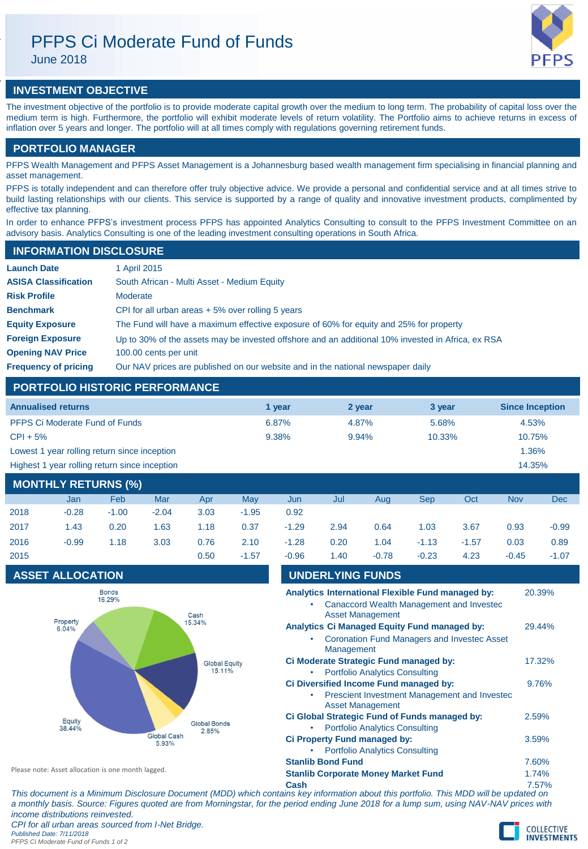# PFPS Ci Moderate Fund of Funds

June 2018



## **INVESTMENT OBJECTIVE**

The investment objective of the portfolio is to provide moderate capital growth over the medium to long term. The probability of capital loss over the medium term is high. Furthermore, the portfolio will exhibit moderate levels of return volatility. The Portfolio aims to achieve returns in excess of inflation over 5 years and longer. The portfolio will at all times comply with regulations governing retirement funds.

### **PORTFOLIO MANAGER**

PFPS Wealth Management and PFPS Asset Management is a Johannesburg based wealth management firm specialising in financial planning and asset management.

PFPS is totally independent and can therefore offer truly objective advice. We provide a personal and confidential service and at all times strive to build lasting relationships with our clients. This service is supported by a range of quality and innovative investment products, complimented by effective tax planning.

In order to enhance PFPS's investment process PFPS has appointed Analytics Consulting to consult to the PFPS Investment Committee on an advisory basis. Analytics Consulting is one of the leading investment consulting operations in South Africa.

| <b>INFORMATION DISCLOSURE</b> |                                                                                                   |
|-------------------------------|---------------------------------------------------------------------------------------------------|
| <b>Launch Date</b>            | 1 April 2015                                                                                      |
| <b>ASISA Classification</b>   | South African - Multi Asset - Medium Equity                                                       |
| <b>Risk Profile</b>           | Moderate                                                                                          |
| <b>Benchmark</b>              | CPI for all urban areas $+5\%$ over rolling 5 years                                               |
| <b>Equity Exposure</b>        | The Fund will have a maximum effective exposure of 60% for equity and 25% for property            |
| <b>Foreign Exposure</b>       | Up to 30% of the assets may be invested offshore and an additional 10% invested in Africa, ex RSA |
| <b>Opening NAV Price</b>      | 100.00 cents per unit                                                                             |
| <b>Frequency of pricing</b>   | Our NAV prices are published on our website and in the national newspaper daily                   |

### **PORTFOLIO HISTORIC PERFORMANCE**

| <b>Annualised returns</b>                     | 1 year | 2 year | 3 year    | <b>Since Inception</b> |
|-----------------------------------------------|--------|--------|-----------|------------------------|
| PFPS Ci Moderate Fund of Funds                | 6.87%  | 4.87%  | 5.68%     | 4.53%                  |
| $CPI + 5%$                                    | 9.38%  | 9.94%  | $10.33\%$ | 10.75%                 |
| Lowest 1 year rolling return since inception  |        |        |           | 1.36%                  |
| Highest 1 year rolling return since inception |        |        |           | 14.35%                 |
|                                               |        |        |           |                        |

| <b>MONTHLY RETURNS (%)</b> |         |         |         |      |         |         |      |         |            |         |            |            |
|----------------------------|---------|---------|---------|------|---------|---------|------|---------|------------|---------|------------|------------|
|                            | Jan     | Feb     | Mar     | Apr  | May     | Jun     | Jul  | Aug     | <b>Sep</b> | Oct     | <b>Nov</b> | <b>Dec</b> |
| 2018                       | $-0.28$ | $-1.00$ | $-2.04$ | 3.03 | $-1.95$ | 0.92    |      |         |            |         |            |            |
| 2017                       | 1.43    | 0.20    | 1.63    | 1.18 | 0.37    | $-1.29$ | 2.94 | 0.64    | 1.03       | 3.67    | 0.93       | $-0.99$    |
| 2016                       | $-0.99$ | 1.18    | 3.03    | 0.76 | 2.10    | $-1.28$ | 0.20 | 1.04    | $-1.13$    | $-1.57$ | 0.03       | 0.89       |
| 2015                       |         |         |         | 0.50 | $-1.57$ | $-0.96$ | 1.40 | $-0.78$ | $-0.23$    | 4.23    | $-0.45$    | $-1.07$    |

## **ASSET ALLOCATION**



| <b>UNDERLYING FUNDS</b>  |                                               |                                                    |        |  |
|--------------------------|-----------------------------------------------|----------------------------------------------------|--------|--|
|                          |                                               | Analytics International Flexible Fund managed by:  | 20.39% |  |
|                          |                                               | Canaccord Wealth Management and Investec           |        |  |
|                          | <b>Asset Management</b>                       |                                                    |        |  |
|                          | Analytics Ci Managed Equity Fund managed by:  |                                                    | 29.44% |  |
|                          |                                               | <b>Coronation Fund Managers and Investec Asset</b> |        |  |
| Management               |                                               |                                                    |        |  |
|                          | Ci Moderate Strategic Fund managed by:        |                                                    | 17.32% |  |
|                          | <b>Portfolio Analytics Consulting</b>         |                                                    |        |  |
|                          | Ci Diversified Income Fund managed by:        |                                                    | 9.76%  |  |
|                          |                                               | Prescient Investment Management and Investec       |        |  |
|                          | <b>Asset Management</b>                       |                                                    |        |  |
|                          | Ci Global Strategic Fund of Funds managed by: |                                                    | 2.59%  |  |
|                          | <b>Portfolio Analytics Consulting</b>         |                                                    |        |  |
|                          | Ci Property Fund managed by:                  |                                                    | 3.59%  |  |
|                          | <b>Portfolio Analytics Consulting</b>         |                                                    |        |  |
| <b>Stanlib Bond Fund</b> |                                               |                                                    | 7.60%  |  |
|                          | <b>Stanlib Corporate Money Market Fund</b>    |                                                    | 1.74%  |  |
|                          |                                               |                                                    |        |  |

Please note: Asset allocation is one month lagged.

**Cash** 7.57% *This document is a Minimum Disclosure Document (MDD) which contains key information about this portfolio. This MDD will be updated on a monthly basis. Source: Figures quoted are from Morningstar, for the period ending June 2018 for a lump sum, using NAV-NAV prices with income distributions reinvested. CPI for all urban areas sourced from I-Net Bridge.*

*Published Date: 7/11/2018*